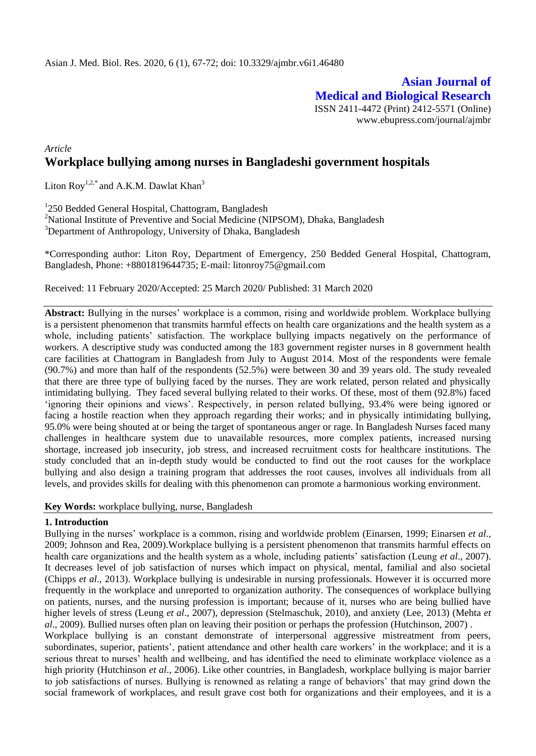**Asian Journal of Medical and Biological Research** ISSN 2411-4472 (Print) 2412-5571 (Online) www.ebupress.com/journal/ajmbr

## *Article* **Workplace bullying among nurses in Bangladeshi government hospitals**

Liton Roy<sup>1,2,\*</sup> and A.K.M. Dawlat Khan<sup>3</sup>

<sup>1</sup>250 Bedded General Hospital, Chattogram, Bangladesh

<sup>2</sup>National Institute of Preventive and Social Medicine (NIPSOM), Dhaka, Bangladesh <sup>3</sup>Department of Anthropology, University of Dhaka, Bangladesh

\*Corresponding author: Liton Roy, Department of Emergency, 250 Bedded General Hospital, Chattogram, Bangladesh, Phone: +8801819644735; E-mail: [litonroy75@gmail.com](mailto:litonroy75@gmail.com)

Received: 11 February 2020/Accepted: 25 March 2020/ Published: 31 March 2020

**Abstract:** Bullying in the nurses' workplace is a common, rising and worldwide problem. Workplace bullying is a persistent phenomenon that transmits harmful effects on health care organizations and the health system as a whole, including patients' satisfaction. The workplace bullying impacts negatively on the performance of workers. A descriptive study was conducted among the 183 government register nurses in 8 government health care facilities at Chattogram in Bangladesh from July to August 2014. Most of the respondents were female (90.7%) and more than half of the respondents (52.5%) were between 30 and 39 years old. The study revealed that there are three type of bullying faced by the nurses. They are work related, person related and physically intimidating bullying. They faced several bullying related to their works. Of these, most of them (92.8%) faced 'ignoring their opinions and views'. Respectively, in person related bullying, 93.4% were being ignored or facing a hostile reaction when they approach regarding their works; and in physically intimidating bullying, 95.0% were being shouted at or being the target of spontaneous anger or rage. In Bangladesh Nurses faced many challenges in healthcare system due to unavailable resources, more complex patients, increased nursing shortage, increased job insecurity, job stress, and increased recruitment costs for healthcare institutions. The study concluded that an in-depth study would be conducted to find out the root causes for the workplace bullying and also design a training program that addresses the root causes, involves all individuals from all levels, and provides skills for dealing with this phenomenon can promote a harmonious working environment.

#### **Key Words:** workplace bullying, nurse, Bangladesh

#### **1. Introduction**

Bullying in the nurses' workplace is a common, rising and worldwide problem (Einarsen, 1999; Einarsen *et al*., 2009; Johnson and Rea, 2009).Workplace bullying is a persistent phenomenon that transmits harmful effects on health care organizations and the health system as a whole, including patients' satisfaction (Leung *et al*., 2007). It decreases level of job satisfaction of nurses which impact on physical, mental, familial and also societal (Chipps *et al*., 2013). Workplace bullying is undesirable in nursing professionals. However it is occurred more frequently in the workplace and unreported to organization authority. The consequences of workplace bullying on patients, nurses, and the nursing profession is important; because of it, nurses who are being bullied have higher levels of stress (Leung *et al*., 2007), depression (Stelmaschuk, 2010), and anxiety (Lee, 2013) (Mehta *et al*., 2009). Bullied nurses often plan on leaving their position or perhaps the profession (Hutchinson, 2007) . Workplace bullying is an constant demonstrate of interpersonal aggressive mistreatment from peers, subordinates, superior, patients', patient attendance and other health care workers' in the workplace; and it is a serious threat to nurses' health and wellbeing, and has identified the need to eliminate workplace violence as a high priority (Hutchinson *et al*., 2006). Like other countries, in Bangladesh, workplace bullying is major barrier to job satisfactions of nurses. Bullying is renowned as relating a range of behaviors' that may grind down the social framework of workplaces, and result grave cost both for organizations and their employees, and it is a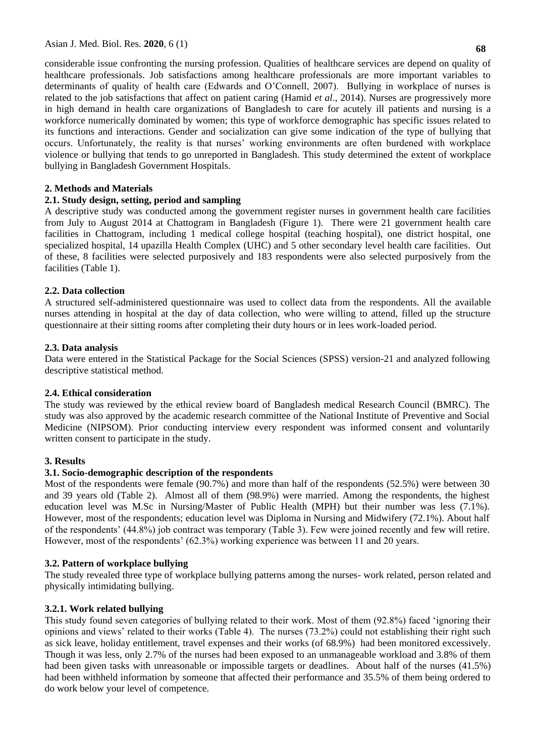considerable issue confronting the nursing profession. Qualities of healthcare services are depend on quality of healthcare professionals. Job satisfactions among healthcare professionals are more important variables to determinants of quality of health care (Edwards and O'Connell, 2007). Bullying in workplace of nurses is related to the job satisfactions that affect on patient caring (Hamid *et al*., 2014). Nurses are progressively more in high demand in health care organizations of Bangladesh to care for acutely ill patients and nursing is a workforce numerically dominated by women; this type of workforce demographic has specific issues related to its functions and interactions. Gender and socialization can give some indication of the type of bullying that occurs. Unfortunately, the reality is that nurses' working environments are often burdened with workplace violence or bullying that tends to go unreported in Bangladesh. This study determined the extent of workplace bullying in Bangladesh Government Hospitals.

## **2. Methods and Materials**

## **2.1. Study design, setting, period and sampling**

A descriptive study was conducted among the government register nurses in government health care facilities from July to August 2014 at Chattogram in Bangladesh (Figure 1). There were 21 government health care facilities in Chattogram, including 1 medical college hospital (teaching hospital), one district hospital, one specialized hospital, 14 upazilla Health Complex (UHC) and 5 other secondary level health care facilities. Out of these, 8 facilities were selected purposively and 183 respondents were also selected purposively from the facilities (Table 1).

## **2.2. Data collection**

A structured self-administered questionnaire was used to collect data from the respondents. All the available nurses attending in hospital at the day of data collection, who were willing to attend, filled up the structure questionnaire at their sitting rooms after completing their duty hours or in lees work-loaded period.

## **2.3. Data analysis**

Data were entered in the Statistical Package for the Social Sciences (SPSS) version-21 and analyzed following descriptive statistical method.

## **2.4. Ethical consideration**

The study was reviewed by the ethical review board of Bangladesh medical Research Council (BMRC). The study was also approved by the academic research committee of the National Institute of Preventive and Social Medicine (NIPSOM). Prior conducting interview every respondent was informed consent and voluntarily written consent to participate in the study.

## **3. Results**

## **3.1. Socio-demographic description of the respondents**

Most of the respondents were female (90.7%) and more than half of the respondents (52.5%) were between 30 and 39 years old (Table 2). Almost all of them (98.9%) were married. Among the respondents, the highest education level was M.Sc in Nursing/Master of Public Health (MPH) but their number was less (7.1%). However, most of the respondents; education level was Diploma in Nursing and Midwifery (72.1%). About half of the respondents' (44.8%) job contract was temporary (Table 3). Few were joined recently and few will retire. However, most of the respondents' (62.3%) working experience was between 11 and 20 years.

## **3.2. Pattern of workplace bullying**

The study revealed three type of workplace bullying patterns among the nurses- work related, person related and physically intimidating bullying.

## **3.2.1. Work related bullying**

This study found seven categories of bullying related to their work. Most of them (92.8%) faced 'ignoring their opinions and views' related to their works (Table 4). The nurses (73.2%) could not establishing their right such as sick leave, holiday entitlement, travel expenses and their works (of 68.9%) had been monitored excessively. Though it was less, only 2.7% of the nurses had been exposed to an unmanageable workload and 3.8% of them had been given tasks with unreasonable or impossible targets or deadlines. About half of the nurses (41.5%) had been withheld information by someone that affected their performance and 35.5% of them being ordered to do work below your level of competence.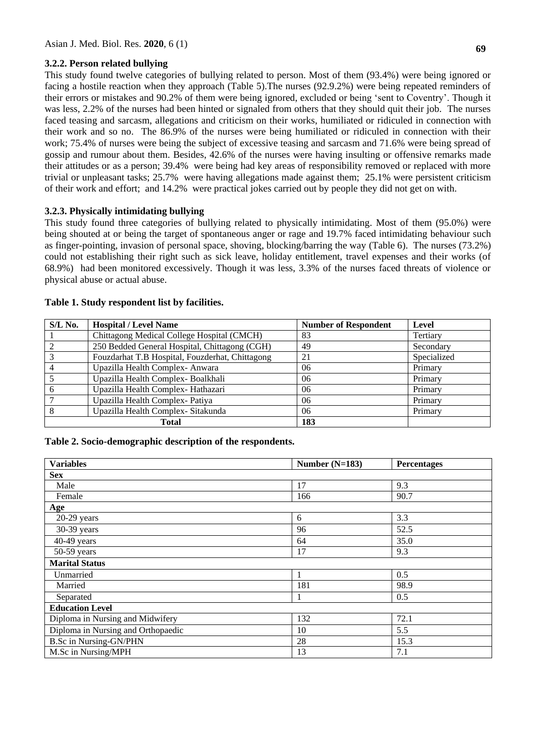## **3.2.2. Person related bullying**

This study found twelve categories of bullying related to person. Most of them (93.4%) were being ignored or facing a hostile reaction when they approach (Table 5).The nurses (92.9.2%) were being repeated reminders of their errors or mistakes and 90.2% of them were being ignored, excluded or being 'sent to Coventry'. Though it was less, 2.2% of the nurses had been hinted or signaled from others that they should quit their job. The nurses faced teasing and sarcasm, allegations and criticism on their works, humiliated or ridiculed in connection with their work and so no. The 86.9% of the nurses were being humiliated or ridiculed in connection with their work; 75.4% of nurses were being the subject of excessive teasing and sarcasm and 71.6% were being spread of gossip and rumour about them. Besides, 42.6% of the nurses were having insulting or offensive remarks made their attitudes or as a person; 39.4% were being had key areas of responsibility removed or replaced with more trivial or unpleasant tasks; 25.7% were having allegations made against them; 25.1% were persistent criticism of their work and effort; and 14.2% were practical jokes carried out by people they did not get on with.

## **3.2.3. Physically intimidating bullying**

This study found three categories of bullying related to physically intimidating. Most of them (95.0%) were being shouted at or being the target of spontaneous anger or rage and 19.7% faced intimidating behaviour such as finger-pointing, invasion of personal space, shoving, blocking/barring the way (Table 6). The nurses (73.2%) could not establishing their right such as sick leave, holiday entitlement, travel expenses and their works (of 68.9%) had been monitored excessively. Though it was less, 3.3% of the nurses faced threats of violence or physical abuse or actual abuse.

| $S/L$ No. | <b>Hospital / Level Name</b>                    | <b>Number of Respondent</b> | <b>Level</b> |
|-----------|-------------------------------------------------|-----------------------------|--------------|
|           | Chittagong Medical College Hospital (CMCH)      | 83                          | Tertiary     |
|           | 250 Bedded General Hospital, Chittagong (CGH)   | 49                          | Secondary    |
|           | Fouzdarhat T.B Hospital, Fouzderhat, Chittagong | 21                          | Specialized  |
|           | Upazilla Health Complex-Anwara                  | 06                          | Primary      |
|           | Upazilla Health Complex-Boalkhali               | 06                          | Primary      |
| 6         | Upazilla Health Complex-Hathazari               | 06                          | Primary      |
|           | Upazilla Health Complex-Patiya                  | 06                          | Primary      |
|           | Upazilla Health Complex- Sitakunda              | 06                          | Primary      |
|           | Total                                           | 183                         |              |

### **Table 1. Study respondent list by facilities.**

## **Table 2. Socio-demographic description of the respondents.**

| <b>Variables</b>                   | Number $(N=183)$ | Percentages |
|------------------------------------|------------------|-------------|
| <b>Sex</b>                         |                  |             |
| Male                               | 17               | 9.3         |
| Female                             | 166              | 90.7        |
| Age                                |                  |             |
| $20-29$ years                      | 6                | 3.3         |
| 30-39 years                        | 96               | 52.5        |
| $40-49$ years                      | 64               | 35.0        |
| $50-59$ years                      | 17               | 9.3         |
| <b>Marital Status</b>              |                  |             |
| Unmarried                          |                  | 0.5         |
| Married                            | 181              | 98.9        |
| Separated                          | $\overline{1}$   | 0.5         |
| <b>Education Level</b>             |                  |             |
| Diploma in Nursing and Midwifery   | 132              | 72.1        |
| Diploma in Nursing and Orthopaedic | 10               | 5.5         |
| <b>B.Sc in Nursing-GN/PHN</b>      | 28               | 15.3        |
| M.Sc in Nursing/MPH                | 13               | 7.1         |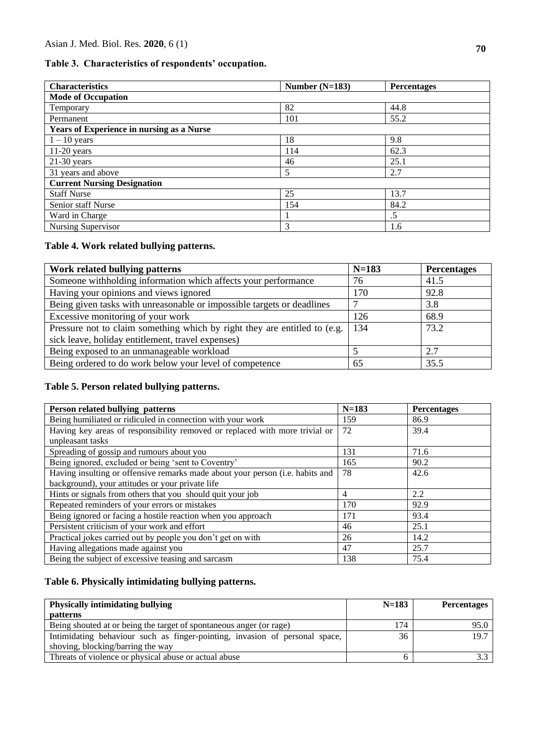## **Table 3. Characteristics of respondents' occupation.**

| <b>Characteristics</b>                           | Number $(N=183)$ | <b>Percentages</b> |
|--------------------------------------------------|------------------|--------------------|
| <b>Mode of Occupation</b>                        |                  |                    |
| Temporary                                        | 82               | 44.8               |
| Permanent                                        | 101              | 55.2               |
| <b>Years of Experience in nursing as a Nurse</b> |                  |                    |
| $1 - 10$ years                                   | 18               | 9.8                |
| $11-20$ years                                    | 114              | 62.3               |
| $21-30$ years                                    | 46               | 25.1               |
| 31 years and above                               | 5                | 2.7                |
| <b>Current Nursing Designation</b>               |                  |                    |
| <b>Staff Nurse</b>                               | 25               | 13.7               |
| Senior staff Nurse                               | 154              | 84.2               |
| Ward in Charge                                   |                  | .5                 |
| Nursing Supervisor                               | 3                | 1.6                |

# **Table 4. Work related bullying patterns.**

| Work related bullying patterns                                            | $N=183$ | <b>Percentages</b> |
|---------------------------------------------------------------------------|---------|--------------------|
| Someone withholding information which affects your performance            | 76      | 41.5               |
| Having your opinions and views ignored                                    | 170     | 92.8               |
| Being given tasks with unreasonable or impossible targets or deadlines    |         | 3.8                |
| Excessive monitoring of your work                                         | 126     | 68.9               |
| Pressure not to claim something which by right they are entitled to (e.g. | 134     | 73.2               |
| sick leave, holiday entitlement, travel expenses)                         |         |                    |
| Being exposed to an unmanageable workload                                 |         | 2.7                |
| Being ordered to do work below your level of competence                   | 65      | 35.5               |

# **Table 5. Person related bullying patterns.**

| Person related bullying patterns                                              | $N = 183$ | <b>Percentages</b> |
|-------------------------------------------------------------------------------|-----------|--------------------|
| Being humiliated or ridiculed in connection with your work                    | 159       | 86.9               |
| Having key areas of responsibility removed or replaced with more trivial or   | 72        | 39.4               |
| unpleasant tasks                                                              |           |                    |
| Spreading of gossip and rumours about you                                     | 131       | 71.6               |
| Being ignored, excluded or being 'sent to Coventry'                           | 165       | 90.2               |
| Having insulting or offensive remarks made about your person (i.e. habits and | 78        | 42.6               |
| background), your attitudes or your private life                              |           |                    |
| Hints or signals from others that you should quit your job                    | 4         | 2.2                |
| Repeated reminders of your errors or mistakes                                 | 170       | 92.9               |
| Being ignored or facing a hostile reaction when you approach                  | 171       | 93.4               |
| Persistent criticism of your work and effort                                  | 46        | 25.1               |
| Practical jokes carried out by people you don't get on with                   | 26        | 14.2               |
| Having allegations made against you                                           | 47        | 25.7               |
| Being the subject of excessive teasing and sarcasm                            | 138       | 75.4               |

# **Table 6. Physically intimidating bullying patterns.**

| <b>Physically intimidating bullying</b><br><i>patterns</i>                  | $N=183$ | <b>Percentages</b> |
|-----------------------------------------------------------------------------|---------|--------------------|
| Being shouted at or being the target of spontaneous anger (or rage)         | 174     | 95.0               |
| Intimidating behaviour such as finger-pointing, invasion of personal space, | 36      | 19.7               |
| shoving, blocking/barring the way                                           |         |                    |
| Threats of violence or physical abuse or actual abuse                       | n       |                    |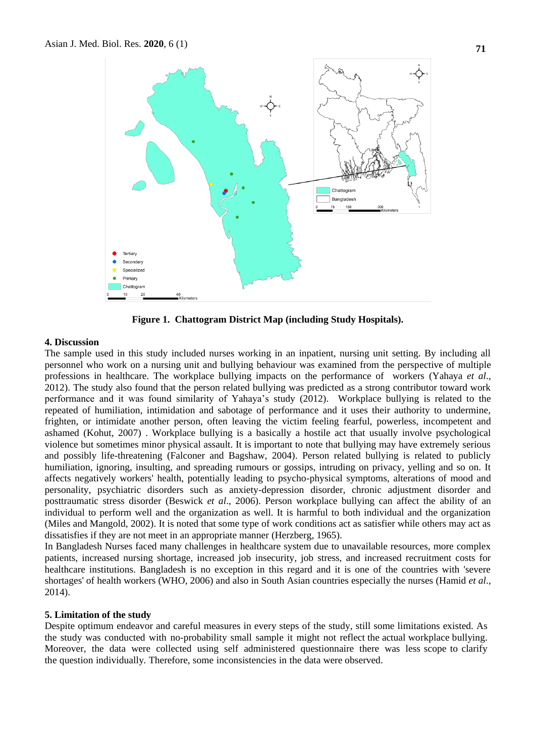

**Figure 1. Chattogram District Map (including Study Hospitals).**

#### **4. Discussion**

The sample used in this study included nurses working in an inpatient, nursing unit setting. By including all personnel who work on a nursing unit and bullying behaviour was examined from the perspective of multiple professions in healthcare. The workplace bullying impacts on the performance of workers (Yahaya *et al*., 2012). The study also found that the person related bullying was predicted as a strong contributor toward work performance and it was found similarity of Yahaya's study (2012). Workplace bullying is related to the repeated of humiliation, intimidation and sabotage of performance and it uses their authority to undermine, frighten, or intimidate another person, often leaving the victim feeling fearful, powerless, incompetent and ashamed (Kohut, 2007) . Workplace bullying is a basically a hostile act that usually involve psychological violence but sometimes minor physical assault. It is important to note that bullying may have extremely serious and possibly life-threatening (Falconer and Bagshaw, 2004). Person related bullying is related to publicly humiliation, ignoring, insulting, and spreading rumours or gossips, intruding on privacy, yelling and so on. It affects negatively workers' health, potentially leading to psycho-physical symptoms, alterations of mood and personality, psychiatric disorders such as anxiety-depression disorder, chronic adjustment disorder and posttraumatic stress disorder (Beswick *et al*., 2006). Person workplace bullying can affect the ability of an individual to perform well and the organization as well. It is harmful to both individual and the organization (Miles and Mangold, 2002). It is noted that some type of work conditions act as satisfier while others may act as dissatisfies if they are not meet in an appropriate manner (Herzberg, 1965).

In Bangladesh Nurses faced many challenges in healthcare system due to unavailable resources, more complex patients, increased nursing shortage, increased job insecurity, job stress, and increased recruitment costs for healthcare institutions. Bangladesh is no exception in this regard and it is one of the countries with 'severe shortages' of health workers (WHO, 2006) and also in South Asian countries especially the nurses (Hamid *et al*., 2014).

#### **5. Limitation of the study**

Despite optimum endeavor and careful measures in every steps of the study, still some limitations existed. As the study was conducted with no-probability small sample it might not reflect the actual workplace bullying. Moreover, the data were collected using self administered questionnaire there was less scope to clarify the question individually. Therefore, some inconsistencies in the data were observed.